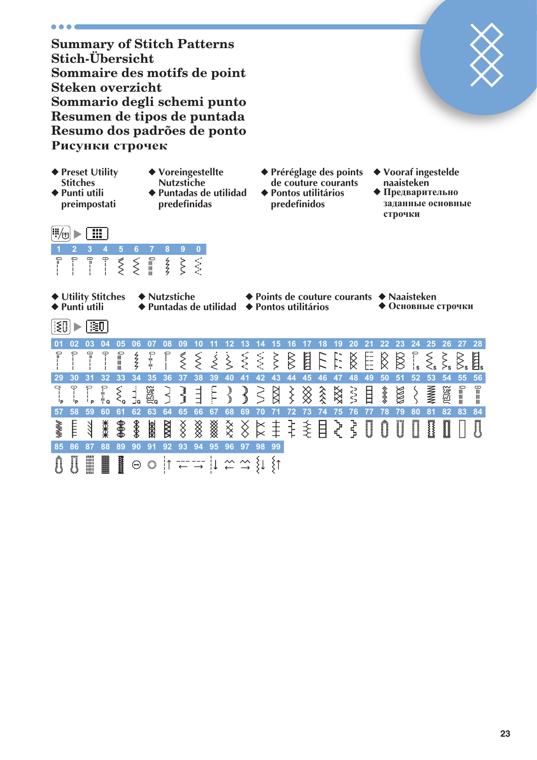... **Summary of Stitch Patterns Stich-Übersicht Sommaire des motifs de point Steken overzicht Sommario degli schemi punto Resumen de tipos de puntada Resumo dos padrões de ponto** Рисунки строчек ◆ **Préréglage des points**  ◆ **Preset Utility**  ◆ **Voreingestellte**  ◆ **Vooraf ingestelde Stitches Nutzstiche de couture courants naaisteken** ◆ **Punti utili**  ◆ **Puntadas de utilidad**  ◆ **Pontos utilitários ◆ Предварительно preimpostati predefinidas predefinidos** заданные основные **строчки**  $\left|\mathbb{I}_{\left(0\right)}\right|$  ,  $\left|\overline{\mathbb{H}\right|}$ **1 2 3 4 5 6 7 8 9 0**  $\lesssim$  $rac{2}{5}$ S.  $\lessgtr$ ≣≣≣  $\zeta$ ◆ **Utility Stitches** ◆ **Nutzstiche** ◆ **Points de couture courants** ◆ **Naaisteken** ◆ **Puntadas de utilidad** ◆ **Pontos utilitários**  $\left\lbrack \left\lbrack \xi \right\rbrack \right\rbrack$   $\triangleright$   $\left\lbrack \overline{\xi} \overline{\eta} \right\rbrack$ **01 02 03 04 05 06 07 08 09 10 11 12 13 14 15 16 17 18 19 20 21 22 23 24 25 26 27 28**  $\equiv \equiv \equiv 0$  $\overline{\widetilde{\mathcal{S}}}$  $rac{2}{5}$  $\lesssim$  $\dot{\leqslant}$ **SSS** ξ  $\gtrapprox$ FILE ⋚ 目。  $\bigotimes$  $\otimes$  $\left\langle \right\rangle$ Ķ **29 30 31 32 33 34 35 36 37 38 39 40 41 42 43 44 45 46 47 48 49 50 51 52 53 54 55 56**  $\begin{array}{c} \hline \vdots \\ \hline \end{array}$  $\equiv \equiv \equiv 0$ Ģ  $\ddot{\mathbf{C}}$  $\sum_{n=1}^{\infty}$  $\dot{\xi}_{\rm o}$ **MWWN BERE** WWwW m  $\geq$  $\boxtimes$ そく  $\hat{\hat{\hat{\mathbf{x}}}}$ XXX nnu 目 **MARINA ROOF ISSE?** كمالمان والمالم  $\bigotimes$ ξ ≣≣≣n  $\frac{1}{2}$  $\dot{\leq}$ ┆ ╫。  $\overline{P}$ **57 58 59 60 61 62 63 64 65 66 67 68 69 70 71 72 73 74 75 76 77 78 79 80 81 82 83 84** ₩₩  $\frac{1}{\sqrt{2}}$ ◈ **ZZZZ**  $\frac{1}{2}$ ▒  $\overset{\mathsf{x}}{\times}$ E **RARE**  $\bigotimes$ /////// ₹ **85 86 87 88 89 90 91 92 93 94 95 96 97 98 99** $\stackrel{\sim}{\leftarrow} \stackrel{\sim}{\rightarrow}$  $\{ \downarrow \} \uparrow$  $\Theta$ ١î  $\downarrow\downarrow$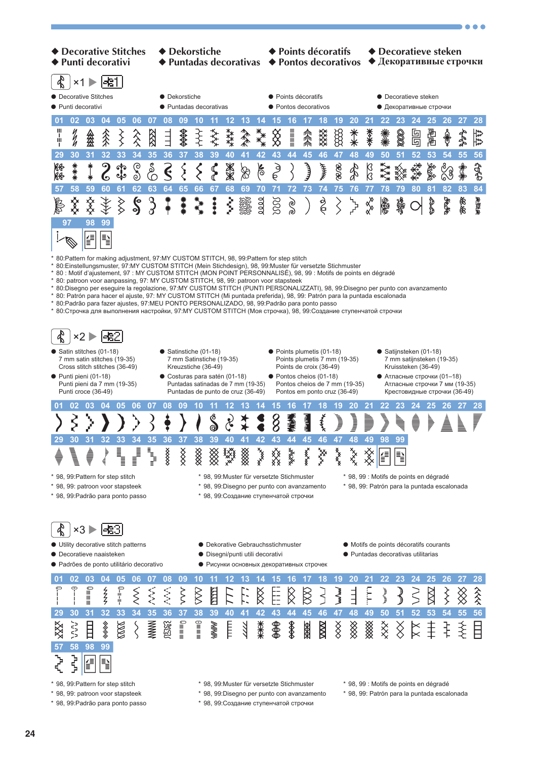

- 
- 
- 
- 
- \* 98, 99: patroon voor stapsteek \* 98, 99:Disegno per punto con avanzamento \* 98, 99: Patrón para la puntada escalonada

**AAA** 

- \* 98, 99: Padrão para ponto passo \* 98, 99: Создание ступенчатой строчки
- **24**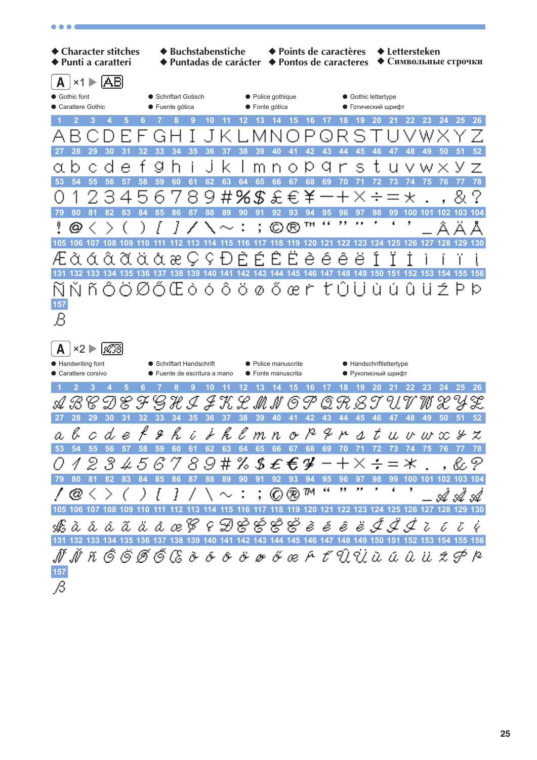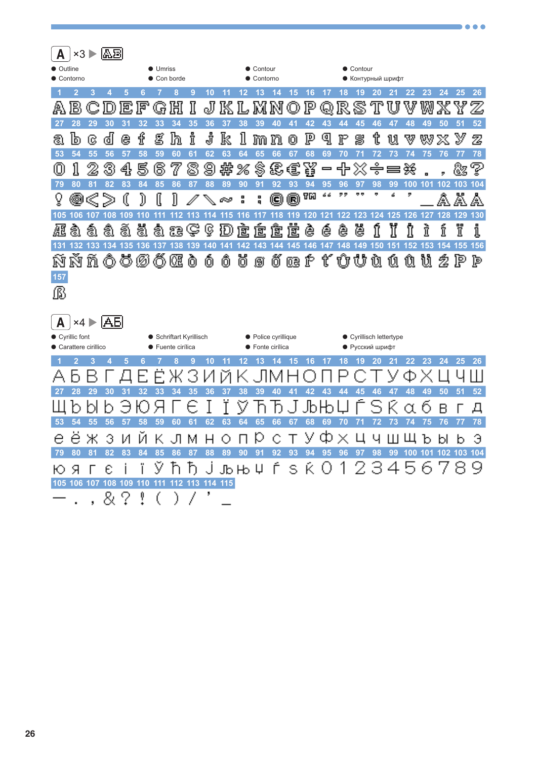